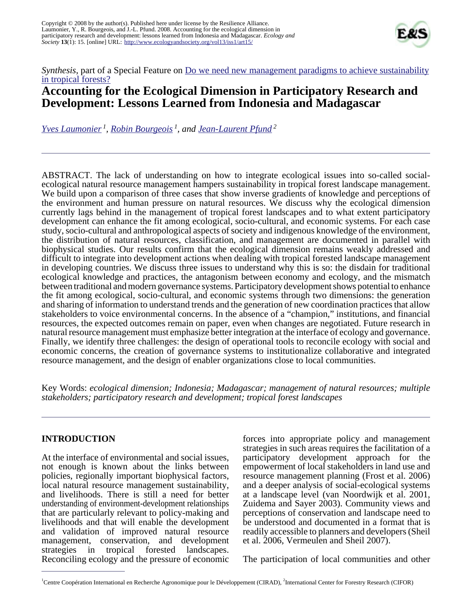

# *Synthesis*, part of a Special Feature on <u>[Do we need new management paradigms to achieve sustainability](http://www.ecologyandsociety.org/viewissue.php?sf=27)</u> [in tropical forests?](http://www.ecologyandsociety.org/viewissue.php?sf=27)

# **Accounting for the Ecological Dimension in Participatory Research and Development: Lessons Learned from Indonesia and Madagascar**

*[Yves Laumonier](mailto:yves.laumonier@cirad.fr)<sup>1</sup> , [Robin Bourgeois](mailto:robin.bourgeois@cirad.fr)<sup>1</sup>, and [Jean-Laurent Pfund](mailto:j.pfund@cgiar.org)<sup>2</sup>*

ABSTRACT. The lack of understanding on how to integrate ecological issues into so-called socialecological natural resource management hampers sustainability in tropical forest landscape management. We build upon a comparison of three cases that show inverse gradients of knowledge and perceptions of the environment and human pressure on natural resources. We discuss why the ecological dimension currently lags behind in the management of tropical forest landscapes and to what extent participatory development can enhance the fit among ecological, socio-cultural, and economic systems. For each case study, socio-cultural and anthropological aspects of society and indigenous knowledge of the environment, the distribution of natural resources, classification, and management are documented in parallel with biophysical studies. Our results confirm that the ecological dimension remains weakly addressed and difficult to integrate into development actions when dealing with tropical forested landscape management in developing countries. We discuss three issues to understand why this is so: the disdain for traditional ecological knowledge and practices, the antagonism between economy and ecology, and the mismatch between traditional and modern governance systems. Participatory development shows potential to enhance the fit among ecological, socio-cultural, and economic systems through two dimensions: the generation and sharing of information to understand trends and the generation of new coordination practices that allow stakeholders to voice environmental concerns. In the absence of a "champion," institutions, and financial resources, the expected outcomes remain on paper, even when changes are negotiated. Future research in natural resource management must emphasize better integration at the interface of ecology and governance. Finally, we identify three challenges: the design of operational tools to reconcile ecology with social and economic concerns, the creation of governance systems to institutionalize collaborative and integrated resource management, and the design of enabler organizations close to local communities.

Key Words: *ecological dimension; Indonesia; Madagascar; management of natural resources; multiple stakeholders; participatory research and development; tropical forest landscapes*

# **INTRODUCTION**

At the interface of environmental and social issues, not enough is known about the links between policies, regionally important biophysical factors, local natural resource management sustainability, and livelihoods. There is still a need for better understanding of environment-development relationships that are particularly relevant to policy-making and livelihoods and that will enable the development and validation of improved natural resource management, conservation, and development strategies in tropical forested landscapes. Reconciling ecology and the pressure of economic

forces into appropriate policy and management strategies in such areas requires the facilitation of a participatory development approach for the empowerment of local stakeholders in land use and resource management planning (Frost et al. 2006) and a deeper analysis of social-ecological systems at a landscape level (van Noordwijk et al. 2001, Zuidema and Sayer 2003). Community views and perceptions of conservation and landscape need to be understood and documented in a format that is readily accessible to planners and developers (Sheil et al. 2006, Vermeulen and Sheil 2007).

The participation of local communities and other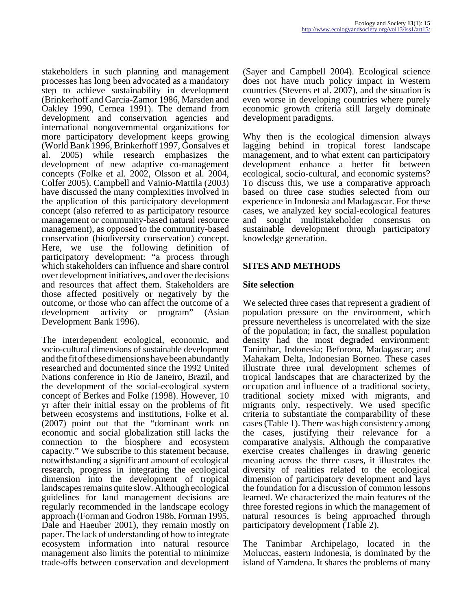stakeholders in such planning and management processes has long been advocated as a mandatory step to achieve sustainability in development (Brinkerhoff and Garcia-Zamor 1986, Marsden and Oakley 1990, Cernea 1991). The demand from development and conservation agencies and international nongovernmental organizations for more participatory development keeps growing (World Bank 1996, Brinkerhoff 1997, Gonsalves et al. 2005) while research emphasizes the development of new adaptive co-management concepts (Folke et al. 2002, Olsson et al. 2004, Colfer 2005). Campbell and Vainio-Mattila (2003) have discussed the many complexities involved in the application of this participatory development concept (also referred to as participatory resource management or community-based natural resource management), as opposed to the community-based conservation (biodiversity conservation) concept. Here, we use the following definition of participatory development: "a process through which stakeholders can influence and share control over development initiatives, and over the decisions and resources that affect them. Stakeholders are those affected positively or negatively by the outcome, or those who can affect the outcome of a development activity or program" (Asian Development Bank 1996).

The interdependent ecological, economic, and socio-cultural dimensions of sustainable development and the fit of these dimensions have been abundantly researched and documented since the 1992 United Nations conference in Rio de Janeiro, Brazil, and the development of the social-ecological system concept of Berkes and Folke (1998). However, 10 yr after their initial essay on the problems of fit between ecosystems and institutions, Folke et al. (2007) point out that the "dominant work on economic and social globalization still lacks the connection to the biosphere and ecosystem capacity." We subscribe to this statement because, notwithstanding a significant amount of ecological research, progress in integrating the ecological dimension into the development of tropical landscapes remains quite slow. Although ecological guidelines for land management decisions are regularly recommended in the landscape ecology approach (Forman and Godron 1986, Forman 1995, Dale and Haeuber 2001), they remain mostly on paper. The lack of understanding of how to integrate ecosystem information into natural resource management also limits the potential to minimize trade-offs between conservation and development

(Sayer and Campbell 2004). Ecological science does not have much policy impact in Western countries (Stevens et al. 2007), and the situation is even worse in developing countries where purely economic growth criteria still largely dominate development paradigms.

Why then is the ecological dimension always lagging behind in tropical forest landscape management, and to what extent can participatory development enhance a better fit between ecological, socio-cultural, and economic systems? To discuss this, we use a comparative approach based on three case studies selected from our experience in Indonesia and Madagascar. For these cases, we analyzed key social-ecological features and sought multistakeholder consensus on sustainable development through participatory knowledge generation.

# **SITES AND METHODS**

# **Site selection**

We selected three cases that represent a gradient of population pressure on the environment, which pressure nevertheless is uncorrelated with the size of the population; in fact, the smallest population density had the most degraded environment: Tanimbar, Indonesia; Beforona, Madagascar; and Mahakam Delta, Indonesian Borneo. These cases illustrate three rural development schemes of tropical landscapes that are characterized by the occupation and influence of a traditional society, traditional society mixed with migrants, and migrants only, respectively. We used specific criteria to substantiate the comparability of these cases (Table 1). There was high consistency among the cases, justifying their relevance for a comparative analysis. Although the comparative exercise creates challenges in drawing generic meaning across the three cases, it illustrates the diversity of realities related to the ecological dimension of participatory development and lays the foundation for a discussion of common lessons learned. We characterized the main features of the three forested regions in which the management of natural resources is being approached through participatory development (Table 2).

The Tanimbar Archipelago, located in the Moluccas, eastern Indonesia, is dominated by the island of Yamdena. It shares the problems of many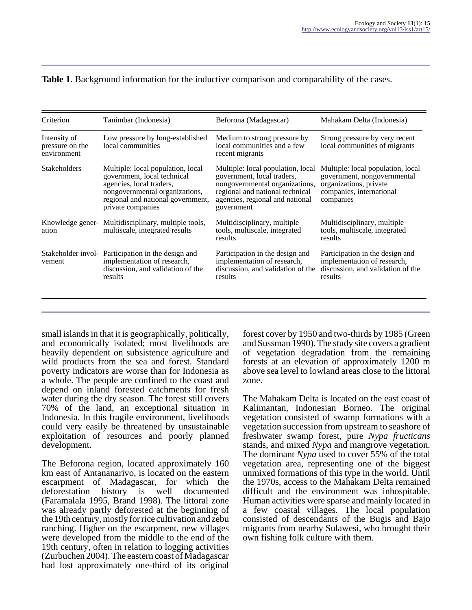| Tanimbar (Indonesia)                                                                                                                                                                     | Beforona (Madagascar)                                                                                                                                                                 | Mahakam Delta (Indonesia)                                                                                                           |
|------------------------------------------------------------------------------------------------------------------------------------------------------------------------------------------|---------------------------------------------------------------------------------------------------------------------------------------------------------------------------------------|-------------------------------------------------------------------------------------------------------------------------------------|
| Low pressure by long-established<br>local communities                                                                                                                                    | Medium to strong pressure by<br>local communities and a few<br>recent migrants                                                                                                        | Strong pressure by very recent<br>local communities of migrants                                                                     |
| Multiple: local population, local<br>government, local technical<br>agencies, local traders,<br>nongovernmental organizations,<br>regional and national government,<br>private companies | Multiple: local population, local<br>government, local traders,<br>nongovernmental organizations,<br>regional and national technical<br>agencies, regional and national<br>government | Multiple: local population, local<br>government, nongovernmental<br>organizations, private<br>companies, international<br>companies |
| Multidisciplinary, multiple tools,<br>multiscale, integrated results                                                                                                                     | Multidisciplinary, multiple<br>tools, multiscale, integrated<br>results                                                                                                               | Multidisciplinary, multiple<br>tools, multiscale, integrated<br>results                                                             |
| Stakeholder invol- Participation in the design and<br>implementation of research,<br>discussion, and validation of the<br>results                                                        | Participation in the design and<br>implementation of research,<br>discussion, and validation of the<br>results                                                                        | Participation in the design and<br>implementation of research,<br>discussion, and validation of the<br>results                      |
|                                                                                                                                                                                          |                                                                                                                                                                                       |                                                                                                                                     |

# **Table 1.** Background information for the inductive comparison and comparability of the cases.

small islands in that it is geographically, politically, and economically isolated; most livelihoods are heavily dependent on subsistence agriculture and wild products from the sea and forest. Standard poverty indicators are worse than for Indonesia as a whole. The people are confined to the coast and depend on inland forested catchments for fresh water during the dry season. The forest still covers 70% of the land, an exceptional situation in Indonesia. In this fragile environment, livelihoods could very easily be threatened by unsustainable exploitation of resources and poorly planned development.

The Beforona region, located approximately 160 km east of Antananarivo, is located on the eastern escarpment of Madagascar, for which the deforestation history is well documented (Faramalala 1995, Brand 1998). The littoral zone was already partly deforested at the beginning of the 19th century, mostly for rice cultivation and zebu ranching. Higher on the escarpment, new villages were developed from the middle to the end of the 19th century, often in relation to logging activities (Zurbuchen 2004). The eastern coast of Madagascar had lost approximately one-third of its original forest cover by 1950 and two-thirds by 1985 (Green and Sussman 1990). The study site covers a gradient of vegetation degradation from the remaining forests at an elevation of approximately 1200 m above sea level to lowland areas close to the littoral zone.

The Mahakam Delta is located on the east coast of Kalimantan, Indonesian Borneo. The original vegetation consisted of swamp formations with a vegetation succession from upstream to seashore of freshwater swamp forest, pure *Nypa fructicans* stands, and mixed *Nypa* and mangrove vegetation. The dominant *Nypa* used to cover 55% of the total vegetation area, representing one of the biggest unmixed formations of this type in the world. Until the 1970s, access to the Mahakam Delta remained difficult and the environment was inhospitable. Human activities were sparse and mainly located in a few coastal villages. The local population consisted of descendants of the Bugis and Bajo migrants from nearby Sulawesi, who brought their own fishing folk culture with them.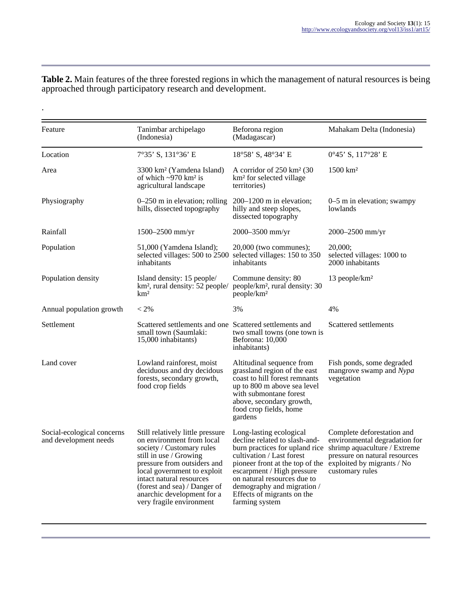| Feature                                             | Tanimbar archipelago<br>(Indonesia)                                                                                                                                                                                                                                                                      | Beforona region<br>(Madagascar)                                                                                                                                                                                                                                     | Mahakam Delta (Indonesia)                                                                                                                                                                                    |
|-----------------------------------------------------|----------------------------------------------------------------------------------------------------------------------------------------------------------------------------------------------------------------------------------------------------------------------------------------------------------|---------------------------------------------------------------------------------------------------------------------------------------------------------------------------------------------------------------------------------------------------------------------|--------------------------------------------------------------------------------------------------------------------------------------------------------------------------------------------------------------|
| Location                                            | 7°35' S, 131°36' E                                                                                                                                                                                                                                                                                       | 18°58' S, 48°34' E                                                                                                                                                                                                                                                  | 0°45' S, 117°28' E                                                                                                                                                                                           |
| Area                                                | 3300 km <sup>2</sup> (Yamdena Island)<br>of which $\sim$ 970 km <sup>2</sup> is<br>agricultural landscape                                                                                                                                                                                                | A corridor of $250 \text{ km}^2$ (30<br>km <sup>2</sup> for selected village<br>territories)                                                                                                                                                                        | $1500 \text{ km}^2$                                                                                                                                                                                          |
| Physiography                                        | $0-250$ m in elevation; rolling<br>hills, dissected topography                                                                                                                                                                                                                                           | $200-1200$ m in elevation;<br>hilly and steep slopes,<br>dissected topography                                                                                                                                                                                       | 0–5 m in elevation; swampy<br>lowlands                                                                                                                                                                       |
| Rainfall                                            | 1500-2500 mm/yr                                                                                                                                                                                                                                                                                          | 2000-3500 mm/yr                                                                                                                                                                                                                                                     | 2000-2500 mm/yr                                                                                                                                                                                              |
| Population                                          | 51,000 (Yamdena Island);<br>selected villages: 500 to 2500 selected villages: 150 to 350<br>inhabitants                                                                                                                                                                                                  | $20,000$ (two communes);<br>inhabitants                                                                                                                                                                                                                             | 20,000:<br>selected villages: 1000 to<br>2000 inhabitants                                                                                                                                                    |
| Population density                                  | Island density: 15 people/<br>km <sup>2</sup> , rural density: 52 people/<br>km <sup>2</sup>                                                                                                                                                                                                             | Commune density: 80<br>people/km <sup>2</sup> , rural density: 30<br>people/km <sup>2</sup>                                                                                                                                                                         | 13 people/km <sup>2</sup>                                                                                                                                                                                    |
| Annual population growth                            | $< 2\%$                                                                                                                                                                                                                                                                                                  | 3%                                                                                                                                                                                                                                                                  | 4%                                                                                                                                                                                                           |
| Settlement                                          | Scattered settlements and one Scattered settlements and<br>small town (Saumlaki:<br>15,000 inhabitants)                                                                                                                                                                                                  | two small towns (one town is<br>Beforona: 10,000<br>inhabitants)                                                                                                                                                                                                    | Scattered settlements                                                                                                                                                                                        |
| Land cover                                          | Lowland rainforest, moist<br>deciduous and dry decidous<br>forests, secondary growth,<br>food crop fields                                                                                                                                                                                                | Altitudinal sequence from<br>grassland region of the east<br>coast to hill forest remnants<br>up to 800 m above sea level<br>with submontane forest<br>above, secondary growth,<br>food crop fields, home<br>gardens                                                | Fish ponds, some degraded<br>mangrove swamp and Nypa<br>vegetation                                                                                                                                           |
| Social-ecological concerns<br>and development needs | Still relatively little pressure<br>on environment from local<br>society / Customary rules<br>still in use / Growing<br>pressure from outsiders and<br>local government to exploit<br>intact natural resources<br>(forest and sea) / Danger of<br>anarchic development for a<br>very fragile environment | Long-lasting ecological<br>decline related to slash-and-<br>cultivation / Last forest<br>pioneer front at the top of the<br>escarpment / High pressure<br>on natural resources due to<br>demography and migration /<br>Effects of migrants on the<br>farming system | Complete deforestation and<br>environmental degradation for<br>burn practices for upland rice shrimp aquaculture / Extreme<br>pressure on natural resources<br>exploited by migrants / No<br>customary rules |

**Table 2.** Main features of the three forested regions in which the management of natural resources is being approached through participatory research and development.

.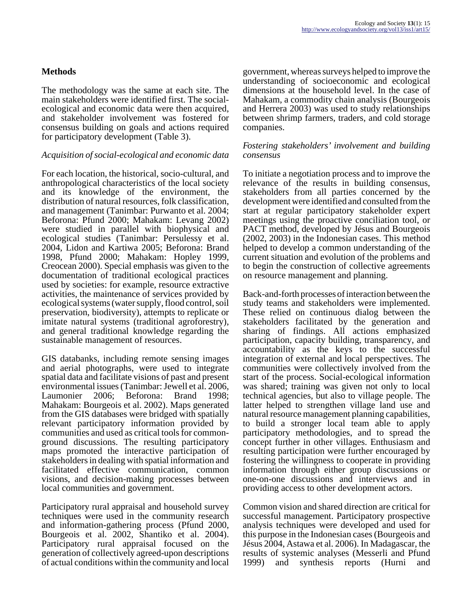# **Methods**

The methodology was the same at each site. The main stakeholders were identified first. The socialecological and economic data were then acquired, and stakeholder involvement was fostered for consensus building on goals and actions required for participatory development (Table 3).

# *Acquisition of social-ecological and economic data*

For each location, the historical, socio-cultural, and anthropological characteristics of the local society and its knowledge of the environment, the distribution of natural resources, folk classification, and management (Tanimbar: Purwanto et al. 2004; Beforona: Pfund 2000; Mahakam: Levang 2002) were studied in parallel with biophysical and ecological studies (Tanimbar: Persulessy et al. 2004, Lidon and Kartiwa 2005; Beforona: Brand 1998, Pfund 2000; Mahakam: Hopley 1999, Creocean 2000). Special emphasis was given to the documentation of traditional ecological practices used by societies: for example, resource extractive activities, the maintenance of services provided by ecological systems (water supply, flood control, soil preservation, biodiversity), attempts to replicate or imitate natural systems (traditional agroforestry), and general traditional knowledge regarding the sustainable management of resources.

GIS databanks, including remote sensing images and aerial photographs, were used to integrate spatial data and facilitate visions of past and present environmental issues (Tanimbar: Jewell et al. 2006, Laumonier 2006; Beforona: Brand 1998; Mahakam: Bourgeois et al. 2002). Maps generated from the GIS databases were bridged with spatially relevant participatory information provided by communities and used as critical tools for commonground discussions. The resulting participatory maps promoted the interactive participation of stakeholders in dealing with spatial information and facilitated effective communication, common visions, and decision-making processes between local communities and government.

Participatory rural appraisal and household survey techniques were used in the community research and information-gathering process (Pfund 2000, Bourgeois et al. 2002, Shantiko et al. 2004). Participatory rural appraisal focused on the generation of collectively agreed-upon descriptions of actual conditions within the community and local

government, whereas surveys helped to improve the understanding of socioeconomic and ecological dimensions at the household level. In the case of Mahakam, a commodity chain analysis (Bourgeois and Herrera 2003) was used to study relationships between shrimp farmers, traders, and cold storage companies.

#### *Fostering stakeholders' involvement and building consensus*

To initiate a negotiation process and to improve the relevance of the results in building consensus, stakeholders from all parties concerned by the development were identified and consulted from the start at regular participatory stakeholder expert meetings using the proactive conciliation tool, or PACT method, developed by Jésus and Bourgeois (2002, 2003) in the Indonesian cases. This method helped to develop a common understanding of the current situation and evolution of the problems and to begin the construction of collective agreements on resource management and planning.

Back-and-forth processes of interaction between the study teams and stakeholders were implemented. These relied on continuous dialog between the stakeholders facilitated by the generation and sharing of findings. All actions emphasized participation, capacity building, transparency, and accountability as the keys to the successful integration of external and local perspectives. The communities were collectively involved from the start of the process. Social-ecological information was shared; training was given not only to local technical agencies, but also to village people. The latter helped to strengthen village land use and natural resource management planning capabilities, to build a stronger local team able to apply participatory methodologies, and to spread the concept further in other villages. Enthusiasm and resulting participation were further encouraged by fostering the willingness to cooperate in providing information through either group discussions or one-on-one discussions and interviews and in providing access to other development actors.

Common vision and shared direction are critical for successful management. Participatory prospective analysis techniques were developed and used for this purpose in the Indonesian cases (Bourgeois and Jésus 2004, Astawa et al. 2006). In Madagascar, the results of systemic analyses (Messerli and Pfund 1999) and synthesis reports (Hurni and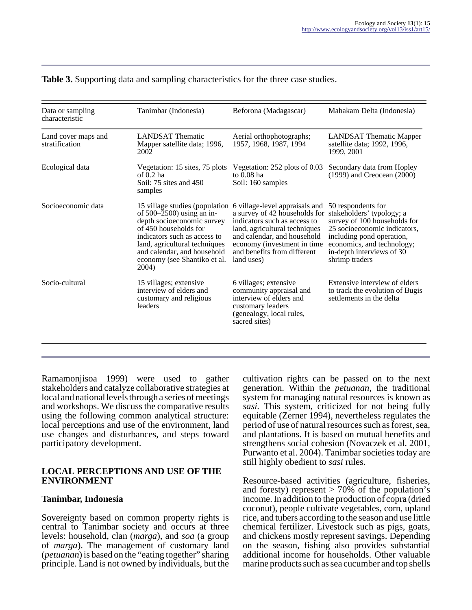| Data or sampling<br>characteristic    | Tanimbar (Indonesia)                                                                                                                                                                                                                                           | Beforona (Madagascar)                                                                                                                                                                                                                       | Mahakam Delta (Indonesia)                                                                                                                                                                                                 |
|---------------------------------------|----------------------------------------------------------------------------------------------------------------------------------------------------------------------------------------------------------------------------------------------------------------|---------------------------------------------------------------------------------------------------------------------------------------------------------------------------------------------------------------------------------------------|---------------------------------------------------------------------------------------------------------------------------------------------------------------------------------------------------------------------------|
| Land cover maps and<br>stratification | <b>LANDSAT</b> Thematic<br>Mapper satellite data; 1996,<br>2002                                                                                                                                                                                                | Aerial orthophotographs;<br>1957, 1968, 1987, 1994                                                                                                                                                                                          | <b>LANDSAT</b> Thematic Mapper<br>satellite data; 1992, 1996,<br>1999, 2001                                                                                                                                               |
| Ecological data                       | Vegetation: 15 sites, 75 plots<br>of 0.2 ha<br>Soil: $75$ sites and $450$<br>samples                                                                                                                                                                           | Vegetation: 252 plots of 0.03<br>to 0.08 ha<br>Soil: 160 samples                                                                                                                                                                            | Secondary data from Hopley<br>$(1999)$ and Creocean $(2000)$                                                                                                                                                              |
| Socioeconomic data                    | 15 village studies (population<br>of $500-2500$ ) using an in-<br>depth socioeconomic survey<br>of 450 households for<br>indicators such as access to<br>land, agricultural techniques<br>and calendar, and household<br>economy (see Shantiko et al.<br>2004) | 6 village-level appraisals and<br>a survey of 42 households for<br>indicators such as access to<br>land, agricultural techniques<br>and calendar, and household<br>economy (investment in time<br>and benefits from different<br>land uses) | 50 respondents for<br>stakeholders' typology; a<br>survey of 100 households for<br>25 socioeconomic indicators,<br>including pond operation,<br>economics, and technology;<br>in-depth interviews of 30<br>shrimp traders |
| Socio-cultural                        | 15 villages; extensive<br>interview of elders and<br>customary and religious<br>leaders                                                                                                                                                                        | 6 villages; extensive<br>community appraisal and<br>interview of elders and<br>customary leaders<br>(genealogy, local rules,<br>sacred sites)                                                                                               | Extensive interview of elders<br>to track the evolution of Bugis<br>settlements in the delta                                                                                                                              |

### **Table 3.** Supporting data and sampling characteristics for the three case studies.

Ramamonjisoa 1999) were used to gather stakeholders and catalyze collaborative strategies at local and national levels through a series of meetings and workshops. We discuss the comparative results using the following common analytical structure: local perceptions and use of the environment, land use changes and disturbances, and steps toward participatory development.

#### **LOCAL PERCEPTIONS AND USE OF THE ENVIRONMENT**

### **Tanimbar, Indonesia**

Sovereignty based on common property rights is central to Tanimbar society and occurs at three levels: household, clan (*marga*), and *soa* (a group of *marga*). The management of customary land (*petuanan*) is based on the "eating together" sharing principle. Land is not owned by individuals, but the

cultivation rights can be passed on to the next generation. Within the *petuanan*, the traditional system for managing natural resources is known as *sasi.* This system, criticized for not being fully equitable (Zerner 1994), nevertheless regulates the period of use of natural resources such as forest, sea, and plantations. It is based on mutual benefits and strengthens social cohesion (Novaczek et al. 2001, Purwanto et al. 2004). Tanimbar societies today are still highly obedient to *sasi* rules.

Resource-based activities (agriculture, fisheries, and foresty) represent  $> 70\%$  of the population's income. In addition to the production of copra (dried coconut), people cultivate vegetables, corn, upland rice, and tubers according to the season and use little chemical fertilizer. Livestock such as pigs, goats, and chickens mostly represent savings. Depending on the season, fishing also provides substantial additional income for households. Other valuable marine products such as sea cucumber and top shells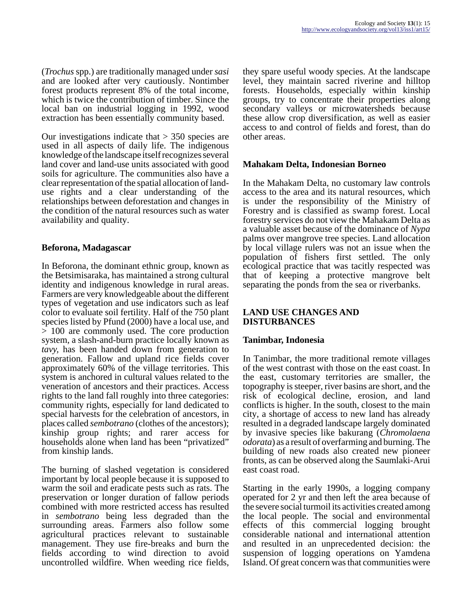(*Trochus* spp.) are traditionally managed under *sasi* and are looked after very cautiously. Nontimber forest products represent 8% of the total income, which is twice the contribution of timber. Since the local ban on industrial logging in 1992, wood extraction has been essentially community based.

Our investigations indicate that  $>$  350 species are used in all aspects of daily life. The indigenous knowledge of the landscape itself recognizes several land cover and land-use units associated with good soils for agriculture. The communities also have a clear representation of the spatial allocation of landuse rights and a clear understanding of the relationships between deforestation and changes in the condition of the natural resources such as water availability and quality.

### **Beforona, Madagascar**

In Beforona, the dominant ethnic group, known as the Betsimisaraka, has maintained a strong cultural identity and indigenous knowledge in rural areas. Farmers are very knowledgeable about the different types of vegetation and use indicators such as leaf color to evaluate soil fertility. Half of the 750 plant species listed by Pfund (2000) have a local use, and > 100 are commonly used. The core production system, a slash-and-burn practice locally known as *tavy,* has been handed down from generation to generation. Fallow and upland rice fields cover approximately 60% of the village territories. This system is anchored in cultural values related to the veneration of ancestors and their practices. Access rights to the land fall roughly into three categories: community rights, especially for land dedicated to special harvests for the celebration of ancestors, in places called *sembotrano* (clothes of the ancestors); kinship group rights; and rarer access for households alone when land has been "privatized" from kinship lands.

The burning of slashed vegetation is considered important by local people because it is supposed to warm the soil and eradicate pests such as rats. The preservation or longer duration of fallow periods combined with more restricted access has resulted in *sembotrano* being less degraded than the surrounding areas. Farmers also follow some agricultural practices relevant to sustainable management. They use fire-breaks and burn the fields according to wind direction to avoid uncontrolled wildfire. When weeding rice fields,

they spare useful woody species. At the landscape level, they maintain sacred riverine and hilltop forests. Households, especially within kinship groups, try to concentrate their properties along secondary valleys or microwatersheds because these allow crop diversification, as well as easier access to and control of fields and forest, than do other areas.

# **Mahakam Delta, Indonesian Borneo**

In the Mahakam Delta, no customary law controls access to the area and its natural resources, which is under the responsibility of the Ministry of Forestry and is classified as swamp forest. Local forestry services do not view the Mahakam Delta as a valuable asset because of the dominance of *Nypa* palms over mangrove tree species. Land allocation by local village rulers was not an issue when the population of fishers first settled. The only ecological practice that was tacitly respected was that of keeping a protective mangrove belt separating the ponds from the sea or riverbanks.

# **LAND USE CHANGES AND DISTURBANCES**

# **Tanimbar, Indonesia**

In Tanimbar, the more traditional remote villages of the west contrast with those on the east coast. In the east, customary territories are smaller, the topography is steeper, river basins are short, and the risk of ecological decline, erosion, and land conflicts is higher. In the south, closest to the main city, a shortage of access to new land has already resulted in a degraded landscape largely dominated by invasive species like bakurang (*Chromolaena odorata*) as a result of overfarming and burning. The building of new roads also created new pioneer fronts, as can be observed along the Saumlaki-Arui east coast road.

Starting in the early 1990s, a logging company operated for 2 yr and then left the area because of the severe social turmoil its activities created among the local people. The social and environmental effects of this commercial logging brought considerable national and international attention and resulted in an unprecedented decision: the suspension of logging operations on Yamdena Island. Of great concern was that communities were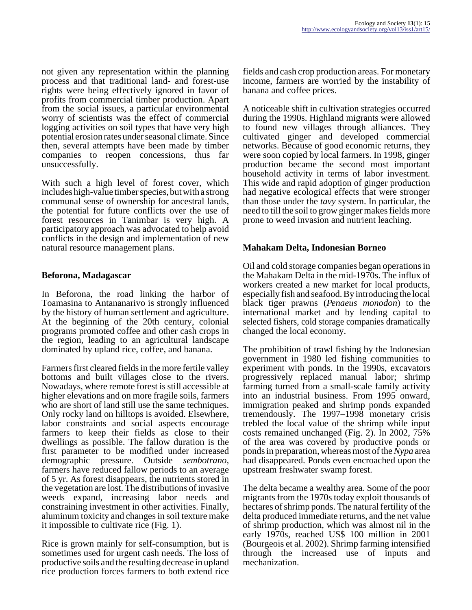not given any representation within the planning process and that traditional land- and forest-use rights were being effectively ignored in favor of profits from commercial timber production. Apart from the social issues, a particular environmental worry of scientists was the effect of commercial logging activities on soil types that have very high potential erosion rates under seasonal climate. Since then, several attempts have been made by timber companies to reopen concessions, thus far unsuccessfully.

With such a high level of forest cover, which includes high-value timber species, but with a strong communal sense of ownership for ancestral lands, the potential for future conflicts over the use of forest resources in Tanimbar is very high. A participatory approach was advocated to help avoid conflicts in the design and implementation of new natural resource management plans.

# **Beforona, Madagascar**

In Beforona, the road linking the harbor of Toamasina to Antananarivo is strongly influenced by the history of human settlement and agriculture. At the beginning of the 20th century, colonial programs promoted coffee and other cash crops in the region, leading to an agricultural landscape dominated by upland rice, coffee, and banana.

Farmers first cleared fields in the more fertile valley bottoms and built villages close to the rivers. Nowadays, where remote forest is still accessible at higher elevations and on more fragile soils, farmers who are short of land still use the same techniques. Only rocky land on hilltops is avoided. Elsewhere, labor constraints and social aspects encourage farmers to keep their fields as close to their dwellings as possible. The fallow duration is the first parameter to be modified under increased demographic pressure. Outside *sembotrano,* farmers have reduced fallow periods to an average of 5 yr. As forest disappears, the nutrients stored in the vegetation are lost. The distributions of invasive weeds expand, increasing labor needs and constraining investment in other activities. Finally, aluminum toxicity and changes in soil texture make it impossible to cultivate rice (Fig. 1).

Rice is grown mainly for self-consumption, but is sometimes used for urgent cash needs. The loss of productive soils and the resulting decrease in upland rice production forces farmers to both extend rice

fields and cash crop production areas. For monetary income, farmers are worried by the instability of banana and coffee prices.

A noticeable shift in cultivation strategies occurred during the 1990s. Highland migrants were allowed to found new villages through alliances. They cultivated ginger and developed commercial networks. Because of good economic returns, they were soon copied by local farmers. In 1998, ginger production became the second most important household activity in terms of labor investment. This wide and rapid adoption of ginger production had negative ecological effects that were stronger than those under the *tavy* system. In particular, the need to till the soil to grow ginger makes fields more prone to weed invasion and nutrient leaching.

# **Mahakam Delta, Indonesian Borneo**

Oil and cold storage companies began operations in the Mahakam Delta in the mid-1970s. The influx of workers created a new market for local products, especially fish and seafood. By introducing the local black tiger prawns (*Penaeus monodon*) to the international market and by lending capital to selected fishers, cold storage companies dramatically changed the local economy.

The prohibition of trawl fishing by the Indonesian government in 1980 led fishing communities to experiment with ponds. In the 1990s, excavators progressively replaced manual labor; shrimp farming turned from a small-scale family activity into an industrial business. From 1995 onward, immigration peaked and shrimp ponds expanded tremendously. The 1997–1998 monetary crisis trebled the local value of the shrimp while input costs remained unchanged (Fig. 2). In 2002, 75% of the area was covered by productive ponds or ponds in preparation, whereas most of the *Nypa* area had disappeared. Ponds even encroached upon the upstream freshwater swamp forest.

The delta became a wealthy area. Some of the poor migrants from the 1970s today exploit thousands of hectares of shrimp ponds. The natural fertility of the delta produced immediate returns, and the net value of shrimp production, which was almost nil in the early 1970s, reached US\$ 100 million in 2001 (Bourgeois et al. 2002). Shrimp farming intensified through the increased use of inputs and mechanization.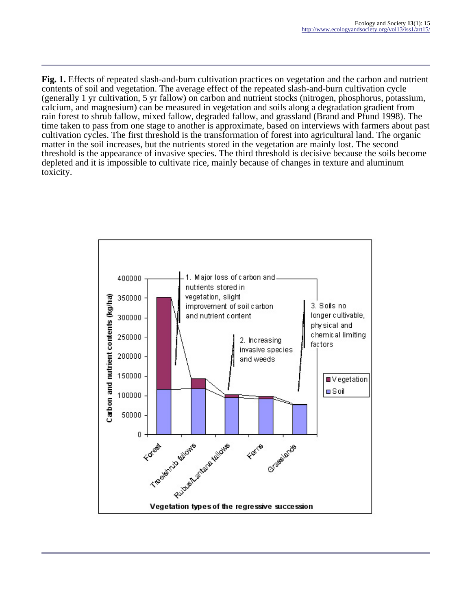**Fig. 1.** Effects of repeated slash-and-burn cultivation practices on vegetation and the carbon and nutrient contents of soil and vegetation. The average effect of the repeated slash-and-burn cultivation cycle (generally 1 yr cultivation, 5 yr fallow) on carbon and nutrient stocks (nitrogen, phosphorus, potassium, calcium, and magnesium) can be measured in vegetation and soils along a degradation gradient from rain forest to shrub fallow, mixed fallow, degraded fallow, and grassland (Brand and Pfund 1998). The time taken to pass from one stage to another is approximate, based on interviews with farmers about past cultivation cycles. The first threshold is the transformation of forest into agricultural land. The organic matter in the soil increases, but the nutrients stored in the vegetation are mainly lost. The second threshold is the appearance of invasive species. The third threshold is decisive because the soils become depleted and it is impossible to cultivate rice, mainly because of changes in texture and aluminum toxicity.

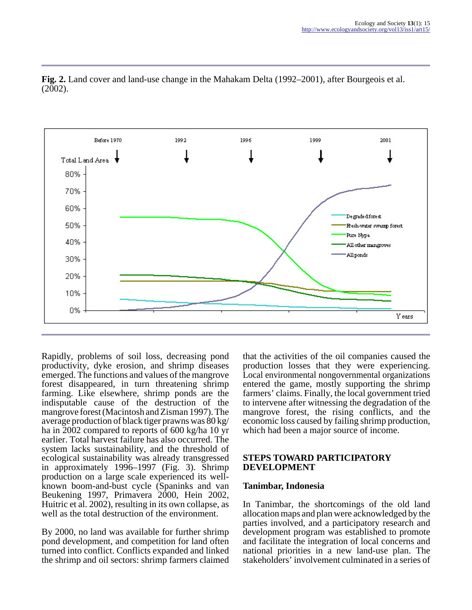

**Fig. 2.** Land cover and land-use change in the Mahakam Delta (1992–2001), after Bourgeois et al. (2002).

Rapidly, problems of soil loss, decreasing pond productivity, dyke erosion, and shrimp diseases emerged. The functions and values of the mangrove forest disappeared, in turn threatening shrimp farming. Like elsewhere, shrimp ponds are the indisputable cause of the destruction of the mangrove forest (Macintosh and Zisman 1997). The average production of black tiger prawns was 80 kg/ ha in 2002 compared to reports of 600 kg/ha 10 yr earlier. Total harvest failure has also occurred. The system lacks sustainability, and the threshold of ecological sustainability was already transgressed in approximately 1996–1997 (Fig. 3). Shrimp production on a large scale experienced its wellknown boom-and-bust cycle (Spaninks and van Beukening 1997, Primavera 2000, Hein 2002, Huitric et al. 2002), resulting in its own collapse, as well as the total destruction of the environment.

By 2000, no land was available for further shrimp pond development, and competition for land often turned into conflict. Conflicts expanded and linked the shrimp and oil sectors: shrimp farmers claimed

that the activities of the oil companies caused the production losses that they were experiencing. Local environmental nongovernmental organizations entered the game, mostly supporting the shrimp farmers' claims. Finally, the local government tried to intervene after witnessing the degradation of the mangrove forest, the rising conflicts, and the economic loss caused by failing shrimp production, which had been a major source of income.

### **STEPS TOWARD PARTICIPATORY DEVELOPMENT**

# **Tanimbar, Indonesia**

In Tanimbar, the shortcomings of the old land allocation maps and plan were acknowledged by the parties involved, and a participatory research and development program was established to promote and facilitate the integration of local concerns and national priorities in a new land-use plan. The stakeholders' involvement culminated in a series of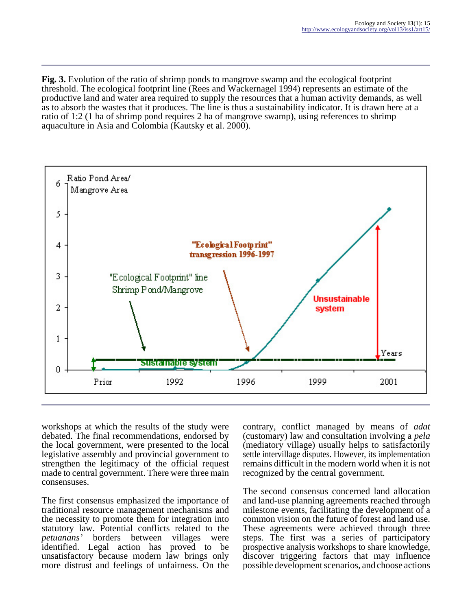**Fig. 3.** Evolution of the ratio of shrimp ponds to mangrove swamp and the ecological footprint threshold. The ecological footprint line (Rees and Wackernagel 1994) represents an estimate of the productive land and water area required to supply the resources that a human activity demands, as well as to absorb the wastes that it produces. The line is thus a sustainability indicator. It is drawn here at a ratio of 1:2 (1 ha of shrimp pond requires 2 ha of mangrove swamp), using references to shrimp aquaculture in Asia and Colombia (Kautsky et al. 2000).



workshops at which the results of the study were debated. The final recommendations, endorsed by the local government, were presented to the local legislative assembly and provincial government to strengthen the legitimacy of the official request made to central government. There were three main consensuses.

The first consensus emphasized the importance of traditional resource management mechanisms and the necessity to promote them for integration into statutory law. Potential conflicts related to the *petuanans'* borders between villages were identified. Legal action has proved to be unsatisfactory because modern law brings only more distrust and feelings of unfairness. On the

contrary, conflict managed by means of *adat* (customary) law and consultation involving a *pela* (mediatory village) usually helps to satisfactorily settle intervillage disputes. However, its implementation remains difficult in the modern world when it is not recognized by the central government.

The second consensus concerned land allocation and land-use planning agreements reached through milestone events, facilitating the development of a common vision on the future of forest and land use. These agreements were achieved through three steps. The first was a series of participatory prospective analysis workshops to share knowledge, discover triggering factors that may influence possible development scenarios, and choose actions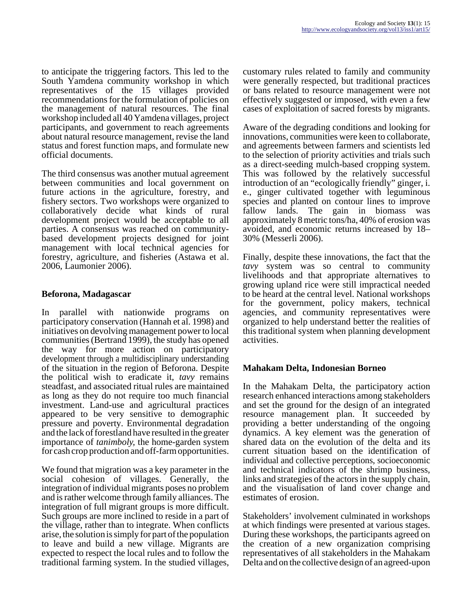to anticipate the triggering factors. This led to the South Yamdena community workshop in which representatives of the 15 villages provided recommendations for the formulation of policies on the management of natural resources. The final workshop included all 40 Yamdena villages, project participants, and government to reach agreements about natural resource management, revise the land status and forest function maps, and formulate new official documents.

The third consensus was another mutual agreement between communities and local government on future actions in the agriculture, forestry, and fishery sectors. Two workshops were organized to collaboratively decide what kinds of rural development project would be acceptable to all parties. A consensus was reached on communitybased development projects designed for joint management with local technical agencies for forestry, agriculture, and fisheries (Astawa et al. 2006, Laumonier 2006).

# **Beforona, Madagascar**

In parallel with nationwide programs on participatory conservation (Hannah et al. 1998) and initiatives on devolving management power to local communities (Bertrand 1999), the study has opened the way for more action on participatory development through a multidisciplinary understanding of the situation in the region of Beforona. Despite the political wish to eradicate it, *tavy* remains steadfast, and associated ritual rules are maintained as long as they do not require too much financial investment. Land-use and agricultural practices appeared to be very sensitive to demographic pressure and poverty. Environmental degradation and the lack of forestland have resulted in the greater importance of *tanimboly,* the home-garden system for cash crop production and off-farm opportunities.

We found that migration was a key parameter in the social cohesion of villages. Generally, the integration of individual migrants poses no problem and is rather welcome through family alliances. The integration of full migrant groups is more difficult. Such groups are more inclined to reside in a part of the village, rather than to integrate. When conflicts arise, the solution is simply for part of the population to leave and build a new village. Migrants are expected to respect the local rules and to follow the traditional farming system. In the studied villages,

customary rules related to family and community were generally respected, but traditional practices or bans related to resource management were not effectively suggested or imposed, with even a few cases of exploitation of sacred forests by migrants.

Aware of the degrading conditions and looking for innovations, communities were keen to collaborate, and agreements between farmers and scientists led to the selection of priority activities and trials such as a direct-seeding mulch-based cropping system. This was followed by the relatively successful introduction of an "ecologically friendly" ginger, i. e., ginger cultivated together with leguminous species and planted on contour lines to improve fallow lands. The gain in biomass was approximately 8 metric tons/ha, 40% of erosion was avoided, and economic returns increased by 18– 30% (Messerli 2006).

Finally, despite these innovations, the fact that the *tavy* system was so central to community livelihoods and that appropriate alternatives to growing upland rice were still impractical needed to be heard at the central level. National workshops for the government, policy makers, technical agencies, and community representatives were organized to help understand better the realities of this traditional system when planning development activities.

# **Mahakam Delta, Indonesian Borneo**

In the Mahakam Delta, the participatory action research enhanced interactions among stakeholders and set the ground for the design of an integrated resource management plan. It succeeded by providing a better understanding of the ongoing dynamics. A key element was the generation of shared data on the evolution of the delta and its current situation based on the identification of individual and collective perceptions, socioeconomic and technical indicators of the shrimp business, links and strategies of the actors in the supply chain, and the visualisation of land cover change and estimates of erosion.

Stakeholders' involvement culminated in workshops at which findings were presented at various stages. During these workshops, the participants agreed on the creation of a new organization comprising representatives of all stakeholders in the Mahakam Delta and on the collective design of an agreed-upon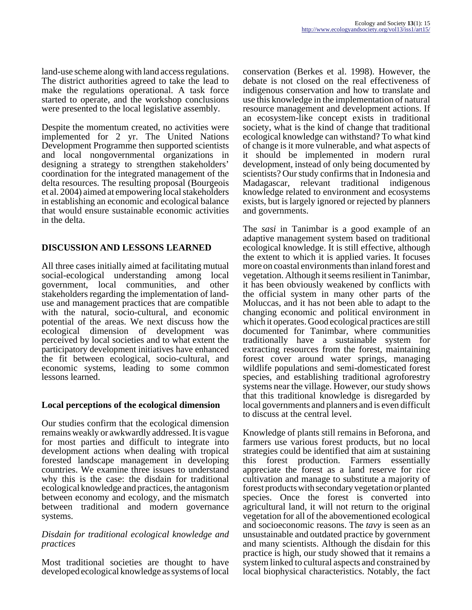land-use scheme along with land access regulations. The district authorities agreed to take the lead to make the regulations operational. A task force started to operate, and the workshop conclusions were presented to the local legislative assembly.

Despite the momentum created, no activities were implemented for 2 yr. The United Nations Development Programme then supported scientists and local nongovernmental organizations in designing a strategy to strengthen stakeholders' coordination for the integrated management of the delta resources. The resulting proposal (Bourgeois et al. 2004) aimed at empowering local stakeholders in establishing an economic and ecological balance that would ensure sustainable economic activities in the delta.

# **DISCUSSION AND LESSONS LEARNED**

All three cases initially aimed at facilitating mutual<br>social-ecological understanding among local social-ecological understanding among government, local communities, and other stakeholders regarding the implementation of landuse and management practices that are compatible with the natural, socio-cultural, and economic potential of the areas. We next discuss how the ecological dimension of development was perceived by local societies and to what extent the participatory development initiatives have enhanced the fit between ecological, socio-cultural, and economic systems, leading to some common lessons learned.

# **Local perceptions of the ecological dimension**

Our studies confirm that the ecological dimension remains weakly or awkwardly addressed. It is vague for most parties and difficult to integrate into development actions when dealing with tropical forested landscape management in developing countries. We examine three issues to understand why this is the case: the disdain for traditional ecological knowledge and practices, the antagonism between economy and ecology, and the mismatch between traditional and modern governance systems.

### *Disdain for traditional ecological knowledge and practices*

Most traditional societies are thought to have developed ecological knowledge as systems of local conservation (Berkes et al. 1998). However, the debate is not closed on the real effectiveness of indigenous conservation and how to translate and use this knowledge in the implementation of natural resource management and development actions. If an ecosystem-like concept exists in traditional society, what is the kind of change that traditional ecological knowledge can withstand? To what kind of change is it more vulnerable, and what aspects of it should be implemented in modern rural development, instead of only being documented by scientists? Our study confirms that in Indonesia and Madagascar, relevant traditional indigenous knowledge related to environment and ecosystems exists, but is largely ignored or rejected by planners and governments.

The *sasi* in Tanimbar is a good example of an adaptive management system based on traditional ecological knowledge. It is still effective, although the extent to which it is applied varies. It focuses more on coastal environments than inland forest and vegetation. Although it seems resilient in Tanimbar, it has been obviously weakened by conflicts with the official system in many other parts of the Moluccas, and it has not been able to adapt to the changing economic and political environment in which it operates. Good ecological practices are still documented for Tanimbar, where communities traditionally have a sustainable system for extracting resources from the forest, maintaining forest cover around water springs, managing wildlife populations and semi-domesticated forest species, and establishing traditional agroforestry systems near the village. However, our study shows that this traditional knowledge is disregarded by local governments and planners and is even difficult to discuss at the central level.

Knowledge of plants still remains in Beforona, and farmers use various forest products, but no local strategies could be identified that aim at sustaining this forest production. Farmers essentially appreciate the forest as a land reserve for rice cultivation and manage to substitute a majority of forest products with secondary vegetation or planted species. Once the forest is converted into agricultural land, it will not return to the original vegetation for all of the abovementioned ecological and socioeconomic reasons. The *tavy* is seen as an unsustainable and outdated practice by government and many scientists. Although the disdain for this practice is high, our study showed that it remains a system linked to cultural aspects and constrained by local biophysical characteristics. Notably, the fact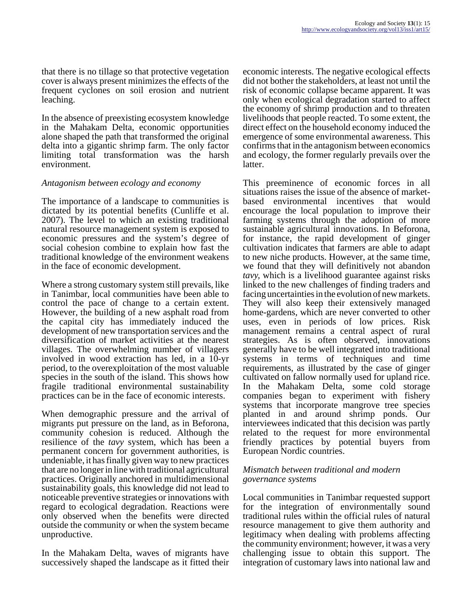that there is no tillage so that protective vegetation cover is always present minimizes the effects of the frequent cyclones on soil erosion and nutrient leaching.

In the absence of preexisting ecosystem knowledge in the Mahakam Delta, economic opportunities alone shaped the path that transformed the original delta into a gigantic shrimp farm. The only factor limiting total transformation was the harsh environment.

### *Antagonism between ecology and economy*

The importance of a landscape to communities is dictated by its potential benefits (Cunliffe et al. 2007). The level to which an existing traditional natural resource management system is exposed to economic pressures and the system's degree of social cohesion combine to explain how fast the traditional knowledge of the environment weakens in the face of economic development.

Where a strong customary system still prevails, like in Tanimbar, local communities have been able to control the pace of change to a certain extent. However, the building of a new asphalt road from the capital city has immediately induced the development of new transportation services and the diversification of market activities at the nearest villages. The overwhelming number of villagers involved in wood extraction has led, in a 10-yr period, to the overexploitation of the most valuable species in the south of the island. This shows how fragile traditional environmental sustainability practices can be in the face of economic interests.

When demographic pressure and the arrival of migrants put pressure on the land, as in Beforona, community cohesion is reduced. Although the resilience of the *tavy* system, which has been a permanent concern for government authorities, is undeniable, it has finally given way to new practices that are no longer in line with traditional agricultural practices. Originally anchored in multidimensional sustainability goals, this knowledge did not lead to noticeable preventive strategies or innovations with regard to ecological degradation. Reactions were only observed when the benefits were directed outside the community or when the system became unproductive.

In the Mahakam Delta, waves of migrants have successively shaped the landscape as it fitted their economic interests. The negative ecological effects did not bother the stakeholders, at least not until the risk of economic collapse became apparent. It was only when ecological degradation started to affect the economy of shrimp production and to threaten livelihoods that people reacted. To some extent, the direct effect on the household economy induced the emergence of some environmental awareness. This confirms that in the antagonism between economics and ecology, the former regularly prevails over the latter.

This preeminence of economic forces in all situations raises the issue of the absence of marketbased environmental incentives that would encourage the local population to improve their farming systems through the adoption of more sustainable agricultural innovations. In Beforona, for instance, the rapid development of ginger cultivation indicates that farmers are able to adapt to new niche products. However, at the same time, we found that they will definitively not abandon *tavy,* which is a livelihood guarantee against risks linked to the new challenges of finding traders and facing uncertainties in the evolution of new markets. They will also keep their extensively managed home-gardens, which are never converted to other uses, even in periods of low prices. Risk management remains a central aspect of rural strategies. As is often observed, innovations generally have to be well integrated into traditional systems in terms of techniques and time requirements, as illustrated by the case of ginger cultivated on fallow normally used for upland rice. In the Mahakam Delta, some cold storage companies began to experiment with fishery systems that incorporate mangrove tree species planted in and around shrimp ponds. Our interviewees indicated that this decision was partly related to the request for more environmental friendly practices by potential buyers from European Nordic countries.

### *Mismatch between traditional and modern governance systems*

Local communities in Tanimbar requested support for the integration of environmentally sound traditional rules within the official rules of natural resource management to give them authority and legitimacy when dealing with problems affecting the community environment; however, it was a very challenging issue to obtain this support. The integration of customary laws into national law and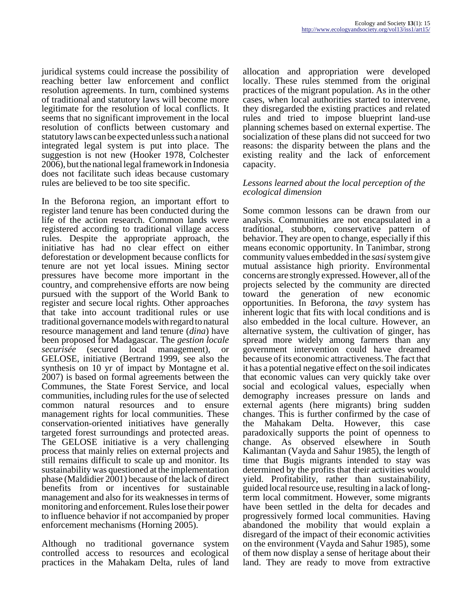juridical systems could increase the possibility of reaching better law enforcement and conflict resolution agreements. In turn, combined systems of traditional and statutory laws will become more legitimate for the resolution of local conflicts. It seems that no significant improvement in the local resolution of conflicts between customary and statutory laws can be expected unless such a national integrated legal system is put into place. The suggestion is not new (Hooker 1978, Colchester 2006), but the national legal framework in Indonesia does not facilitate such ideas because customary rules are believed to be too site specific.

In the Beforona region, an important effort to register land tenure has been conducted during the life of the action research. Common lands were registered according to traditional village access rules. Despite the appropriate approach, the initiative has had no clear effect on either deforestation or development because conflicts for tenure are not yet local issues. Mining sector pressures have become more important in the country, and comprehensive efforts are now being pursued with the support of the World Bank to register and secure local rights. Other approaches that take into account traditional rules or use traditional governance models with regard to natural resource management and land tenure (*dina*) have been proposed for Madagascar. The *gestion locale securisée* (secured local management), or GELOSE, initiative (Bertrand 1999, see also the synthesis on 10 yr of impact by Montagne et al. 2007) is based on formal agreements between the Communes, the State Forest Service, and local communities, including rules for the use of selected common natural resources and to ensure management rights for local communities. These conservation-oriented initiatives have generally targeted forest surroundings and protected areas. The GELOSE initiative is a very challenging process that mainly relies on external projects and still remains difficult to scale up and monitor. Its sustainability was questioned at the implementation phase (Maldidier 2001) because of the lack of direct benefits from or incentives for sustainable management and also for its weaknesses in terms of monitoring and enforcement. Rules lose their power to influence behavior if not accompanied by proper enforcement mechanisms (Horning 2005).

Although no traditional governance system controlled access to resources and ecological practices in the Mahakam Delta, rules of land allocation and appropriation were developed locally. These rules stemmed from the original practices of the migrant population. As in the other cases, when local authorities started to intervene, they disregarded the existing practices and related rules and tried to impose blueprint land-use planning schemes based on external expertise. The socialization of these plans did not succeed for two reasons: the disparity between the plans and the existing reality and the lack of enforcement capacity.

#### *Lessons learned about the local perception of the ecological dimension*

Some common lessons can be drawn from our analysis. Communities are not encapsulated in a traditional, stubborn, conservative pattern of behavior. They are open to change, especially if this means economic opportunity. In Tanimbar, strong community values embedded in the *sasi* system give mutual assistance high priority. Environmental concerns are strongly expressed. However, all of the projects selected by the community are directed toward the generation of new economic opportunities. In Beforona, the *tavy* system has inherent logic that fits with local conditions and is also embedded in the local culture. However, an alternative system, the cultivation of ginger, has spread more widely among farmers than any government intervention could have dreamed because of its economic attractiveness. The fact that it has a potential negative effect on the soil indicates that economic values can very quickly take over social and ecological values, especially when demography increases pressure on lands and external agents (here migrants) bring sudden changes. This is further confirmed by the case of the Mahakam Delta. However, this case paradoxically supports the point of openness to change. As observed elsewhere in South Kalimantan (Vayda and Sahur 1985), the length of time that Bugis migrants intended to stay was determined by the profits that their activities would yield. Profitability, rather than sustainability, guided local resource use, resulting in a lack of longterm local commitment. However, some migrants have been settled in the delta for decades and progressively formed local communities. Having abandoned the mobility that would explain a disregard of the impact of their economic activities on the environment (Vayda and Sahur 1985), some of them now display a sense of heritage about their land. They are ready to move from extractive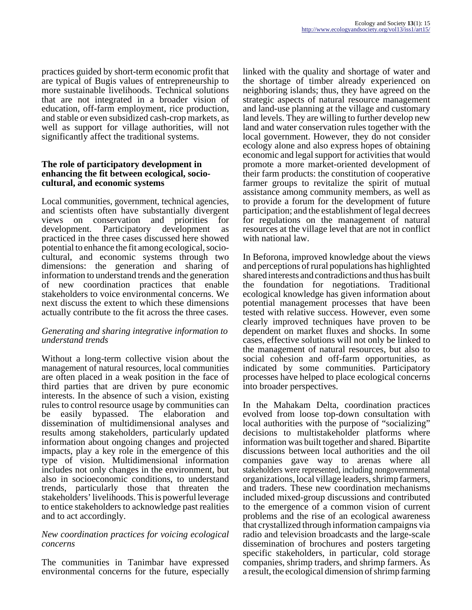practices guided by short-term economic profit that are typical of Bugis values of entrepreneurship to more sustainable livelihoods. Technical solutions that are not integrated in a broader vision of education, off-farm employment, rice production, and stable or even subsidized cash-crop markets, as well as support for village authorities, will not significantly affect the traditional systems.

### **The role of participatory development in enhancing the fit between ecological, sociocultural, and economic systems**

Local communities, government, technical agencies, and scientists often have substantially divergent views on conservation and priorities for development. Participatory development as practiced in the three cases discussed here showed potential to enhance the fit among ecological, sociocultural, and economic systems through two dimensions: the generation and sharing of information to understand trends and the generation of new coordination practices that enable stakeholders to voice environmental concerns. We next discuss the extent to which these dimensions actually contribute to the fit across the three cases.

### *Generating and sharing integrative information to understand trends*

Without a long-term collective vision about the management of natural resources, local communities are often placed in a weak position in the face of third parties that are driven by pure economic interests. In the absence of such a vision, existing rules to control resource usage by communities can be easily bypassed. The elaboration and dissemination of multidimensional analyses and results among stakeholders, particularly updated information about ongoing changes and projected impacts, play a key role in the emergence of this type of vision. Multidimensional information includes not only changes in the environment, but also in socioeconomic conditions, to understand trends, particularly those that threaten the stakeholders' livelihoods. This is powerful leverage to entice stakeholders to acknowledge past realities and to act accordingly.

### *New coordination practices for voicing ecological concerns*

The communities in Tanimbar have expressed environmental concerns for the future, especially linked with the quality and shortage of water and the shortage of timber already experienced on neighboring islands; thus, they have agreed on the strategic aspects of natural resource management and land-use planning at the village and customary land levels. They are willing to further develop new land and water conservation rules together with the local government. However, they do not consider ecology alone and also express hopes of obtaining economic and legal support for activities that would promote a more market-oriented development of their farm products: the constitution of cooperative farmer groups to revitalize the spirit of mutual assistance among community members, as well as to provide a forum for the development of future participation; and the establishment of legal decrees for regulations on the management of natural resources at the village level that are not in conflict with national law.

In Beforona, improved knowledge about the views and perceptions of rural populations has highlighted shared interests and contradictions and thus has built the foundation for negotiations. Traditional ecological knowledge has given information about potential management processes that have been tested with relative success. However, even some clearly improved techniques have proven to be dependent on market fluxes and shocks. In some cases, effective solutions will not only be linked to the management of natural resources, but also to social cohesion and off-farm opportunities, as indicated by some communities. Participatory processes have helped to place ecological concerns into broader perspectives.

In the Mahakam Delta, coordination practices evolved from loose top-down consultation with local authorities with the purpose of "socializing" decisions to multistakeholder platforms where information was built together and shared. Bipartite discussions between local authorities and the oil companies gave way to arenas where all stakeholders were represented, including nongovernmental organizations, local village leaders, shrimp farmers, and traders. These new coordination mechanisms included mixed-group discussions and contributed to the emergence of a common vision of current problems and the rise of an ecological awareness that crystallized through information campaigns via radio and television broadcasts and the large-scale dissemination of brochures and posters targeting specific stakeholders, in particular, cold storage companies, shrimp traders, and shrimp farmers. As a result, the ecological dimension of shrimp farming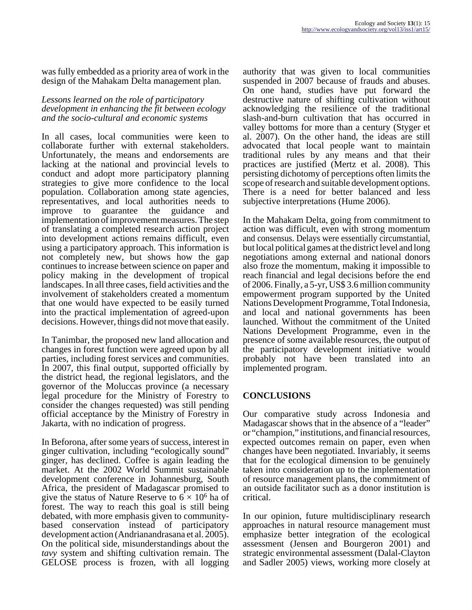was fully embedded as a priority area of work in the design of the Mahakam Delta management plan.

#### *Lessons learned on the role of participatory development in enhancing the fit between ecology and the socio-cultural and economic systems*

In all cases, local communities were keen to collaborate further with external stakeholders. Unfortunately, the means and endorsements are lacking at the national and provincial levels to conduct and adopt more participatory planning strategies to give more confidence to the local population. Collaboration among state agencies, representatives, and local authorities needs to improve to guarantee the guidance and implementation of improvement measures. The step of translating a completed research action project into development actions remains difficult, even using a participatory approach. This information is not completely new, but shows how the gap continues to increase between science on paper and policy making in the development of tropical landscapes. In all three cases, field activities and the involvement of stakeholders created a momentum that one would have expected to be easily turned into the practical implementation of agreed-upon decisions. However, things did not move that easily.

In Tanimbar, the proposed new land allocation and changes in forest function were agreed upon by all parties, including forest services and communities. In 2007, this final output, supported officially by the district head, the regional legislators, and the governor of the Moluccas province (a necessary legal procedure for the Ministry of Forestry to consider the changes requested) was still pending official acceptance by the Ministry of Forestry in Jakarta, with no indication of progress.

In Beforona, after some years of success, interest in ginger cultivation, including "ecologically sound" ginger, has declined. Coffee is again leading the market. At the 2002 World Summit sustainable development conference in Johannesburg, South Africa, the president of Madagascar promised to give the status of Nature Reserve to  $6 \times 10^6$  ha of forest. The way to reach this goal is still being debated, with more emphasis given to communitybased conservation instead of participatory development action (Andrianandrasana et al. 2005). On the political side, misunderstandings about the *tavy* system and shifting cultivation remain. The GELOSE process is frozen, with all logging

authority that was given to local communities suspended in 2007 because of frauds and abuses. On one hand, studies have put forward the destructive nature of shifting cultivation without acknowledging the resilience of the traditional slash-and-burn cultivation that has occurred in valley bottoms for more than a century (Styger et al. 2007). On the other hand, the ideas are still advocated that local people want to maintain traditional rules by any means and that their practices are justified (Mertz et al. 2008). This persisting dichotomy of perceptions often limits the scope of research and suitable development options. There is a need for better balanced and less subjective interpretations (Hume 2006).

In the Mahakam Delta, going from commitment to action was difficult, even with strong momentum and consensus. Delays were essentially circumstantial, but local political games at the district level and long negotiations among external and national donors also froze the momentum, making it impossible to reach financial and legal decisions before the end of 2006. Finally, a 5-yr, US\$ 3.6 million community empowerment program supported by the United Nations Development Programme, Total Indonesia, and local and national governments has been launched. Without the commitment of the United Nations Development Programme, even in the presence of some available resources, the output of the participatory development initiative would probably not have been translated into an implemented program.

# **CONCLUSIONS**

Our comparative study across Indonesia and Madagascar shows that in the absence of a "leader" or "champion," institutions, and financial resources, expected outcomes remain on paper, even when changes have been negotiated. Invariably, it seems that for the ecological dimension to be genuinely taken into consideration up to the implementation of resource management plans, the commitment of an outside facilitator such as a donor institution is critical.

In our opinion, future multidisciplinary research approaches in natural resource management must emphasize better integration of the ecological assessment (Jensen and Bourgeron 2001) and strategic environmental assessment (Dalal-Clayton and Sadler 2005) views, working more closely at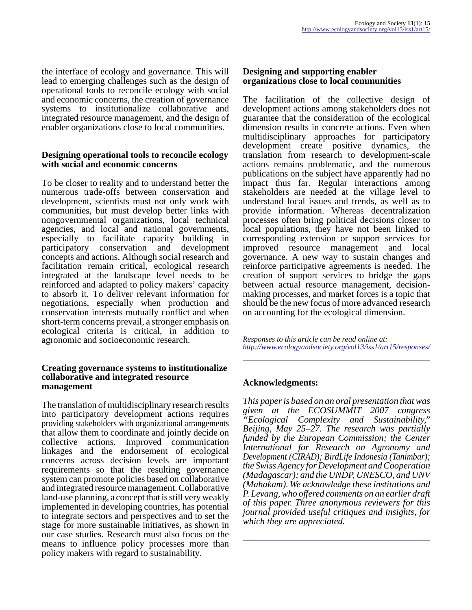the interface of ecology and governance. This will lead to emerging challenges such as the design of operational tools to reconcile ecology with social and economic concerns, the creation of governance systems to institutionalize collaborative and integrated resource management, and the design of enabler organizations close to local communities.

### **Designing operational tools to reconcile ecology with social and economic concerns**

To be closer to reality and to understand better the numerous trade-offs between conservation and development, scientists must not only work with communities, but must develop better links with nongovernmental organizations, local technical agencies, and local and national governments, especially to facilitate capacity building in participatory conservation and development concepts and actions. Although social research and facilitation remain critical, ecological research integrated at the landscape level needs to be reinforced and adapted to policy makers' capacity to absorb it. To deliver relevant information for negotiations, especially when production and conservation interests mutually conflict and when short-term concerns prevail, a stronger emphasis on ecological criteria is critical, in addition to agronomic and socioeconomic research.

### **Creating governance systems to institutionalize collaborative and integrated resource management**

The translation of multidisciplinary research results into participatory development actions requires providing stakeholders with organizational arrangements that allow them to coordinate and jointly decide on collective actions. Improved communication linkages and the endorsement of ecological concerns across decision levels are important requirements so that the resulting governance system can promote policies based on collaborative and integrated resource management. Collaborative land-use planning, a concept that is still very weakly implemented in developing countries, has potential to integrate sectors and perspectives and to set the stage for more sustainable initiatives, as shown in our case studies. Research must also focus on the means to influence policy processes more than policy makers with regard to sustainability.

### **Designing and supporting enabler organizations close to local communities**

The facilitation of the collective design of development actions among stakeholders does not guarantee that the consideration of the ecological dimension results in concrete actions. Even when multidisciplinary approaches for participatory development create positive dynamics, the translation from research to development-scale actions remains problematic, and the numerous publications on the subject have apparently had no impact thus far. Regular interactions among stakeholders are needed at the village level to understand local issues and trends, as well as to provide information. Whereas decentralization processes often bring political decisions closer to local populations, they have not been linked to corresponding extension or support services for improved resource management and local governance. A new way to sustain changes and reinforce participative agreements is needed. The creation of support services to bridge the gaps between actual resource management, decisionmaking processes, and market forces is a topic that should be the new focus of more advanced research on accounting for the ecological dimension.

*Responses to this article can be read online at: <http://www.ecologyandsociety.org/vol13/iss1/art15/responses/>*

# **Acknowledgments:**

*This paper is based on an oral presentation that was given at the ECOSUMMIT 2007 congress "Ecological Complexity and Sustainability," Beijing, May 25–27. The research was partially funded by the European Commission; the Center International for Research on Agronomy and Development (CIRAD); BirdLife Indonesia (Tanimbar); the Swiss Agency for Development and Cooperation (Madagascar); and the UNDP, UNESCO, and UNV (Mahakam). We acknowledge these institutions and P. Levang, who offered comments on an earlier draft of this paper. Three anonymous reviewers for this journal provided useful critiques and insights, for which they are appreciated.*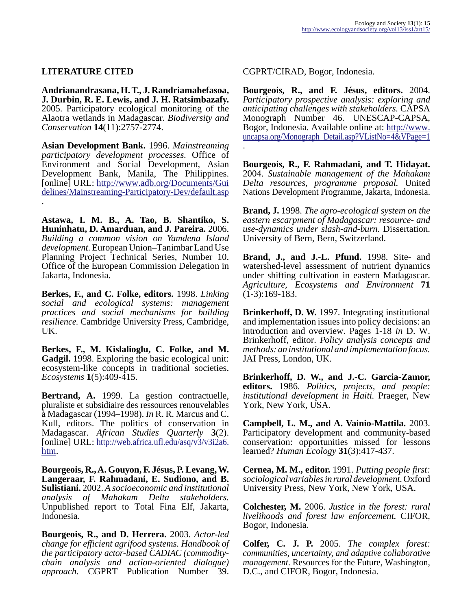# **LITERATURE CITED**

**Andrianandrasana, H. T., J. Randriamahefasoa, J. Durbin, R. E. Lewis, and J. H. Ratsimbazafy.** 2005. Participatory ecological monitoring of the Alaotra wetlands in Madagascar. *Biodiversity and Conservation* **14**(11):2757-2774.

**Asian Development Bank.** 1996. *Mainstreaming participatory development processes.* Office of Environment and Social Development, Asian Development Bank, Manila, The Philippines. [online] URL: [http://www.adb.org/Documents/Gui](http://www.adb.org/Documents/Guidelines/Mainstreaming-Participatory-Dev/default.asp) [delines/Mainstreaming-Participatory-Dev/default.asp](http://www.adb.org/Documents/Guidelines/Mainstreaming-Participatory-Dev/default.asp) .

**Astawa, I. M. B., A. Tao, B. Shantiko, S. Huninhatu, D. Amarduan, and J. Pareira.** 2006. *Building a common vision on Yamdena Island development.* European Union–Tanimbar Land Use Planning Project Technical Series, Number 10. Office of the European Commission Delegation in Jakarta, Indonesia.

**Berkes, F., and C. Folke, editors.** 1998. *Linking social and ecological systems: management practices and social mechanisms for building resilience.* Cambridge University Press, Cambridge, UK.

**Berkes, F., M. Kislalioglu, C. Folke, and M. Gadgil.** 1998. Exploring the basic ecological unit: ecosystem-like concepts in traditional societies. *Ecosystems* **1**(5):409-415.

**Bertrand, A.** 1999. La gestion contractuelle, pluraliste et subsidiaire des ressources renouvelables à Madagascar (1994–1998). *In* R. R. Marcus and C. Kull, editors. The politics of conservation in Madagascar. *African Studies Quarterly* **3**(2). [online] URL: [http://web.africa.ufl.edu/asq/v3/v3i2a6.](http://web.africa.ufl.edu/asq/v3/v3i2a6.htm) [htm.](http://web.africa.ufl.edu/asq/v3/v3i2a6.htm)

**Bourgeois, R., A. Gouyon, F. Jésus, P. Levang, W. Langeraar, F. Rahmadani, E. Sudiono, and B. Sulistiani.** 2002. *A socioeconomic and institutional analysis of Mahakam Delta stakeholders.* Unpublished report to Total Fina Elf, Jakarta, Indonesia.

**Bourgeois, R., and D. Herrera.** 2003. *Actor-led change for efficient agrifood systems. Handbook of the participatory actor-based CADIAC (commoditychain analysis and action-oriented dialogue) approach.* CGPRT Publication Number 39.

CGPRT/CIRAD, Bogor, Indonesia.

.

**Bourgeois, R., and F. Jésus, editors.** 2004. *Participatory prospective analysis: exploring and anticipating challenges with stakeholders.* CAPSA Monograph Number 46. UNESCAP-CAPSA, Bogor, Indonesia. Available online at: [http://www.](http://www.uncapsa.org/Monograph_Detail.asp?VListNo=4&VPage=1) [uncapsa.org/Monograph\\_Detail.asp?VListNo=4&VPage=1](http://www.uncapsa.org/Monograph_Detail.asp?VListNo=4&VPage=1)

**Bourgeois, R., F. Rahmadani, and T. Hidayat.** 2004. *Sustainable management of the Mahakam Delta resources, programme proposal.* United Nations Development Programme, Jakarta, Indonesia.

**Brand, J.** 1998. *The agro-ecological system on the eastern escarpment of Madagascar: resource- and use-dynamics under slash-and-burn.* Dissertation. University of Bern, Bern, Switzerland.

**Brand, J., and J.-L. Pfund.** 1998. Site- and watershed-level assessment of nutrient dynamics under shifting cultivation in eastern Madagascar. *Agriculture, Ecosystems and Environment* **71** (1-3):169-183.

**Brinkerhoff, D. W.** 1997. Integrating institutional and implementation issues into policy decisions: an introduction and overview. Pages 1-18 *in* D. W. Brinkerhoff, editor. *Policy analysis concepts and methods: an institutional and implementation focus.* JAI Press, London, UK.

**Brinkerhoff, D. W., and J.-C. Garcia-Zamor, editors.** 1986. *Politics, projects, and people: institutional development in Haiti.* Praeger, New York, New York, USA.

**Campbell, L. M., and A. Vainio-Mattila.** 2003. Participatory development and community-based conservation: opportunities missed for lessons learned? *Human Ecology* **31**(3):417-437.

**Cernea, M. M., editor.** 1991. *Putting people first: sociological variables in rural development.* Oxford University Press, New York, New York, USA.

**Colchester, M.** 2006. *Justice in the forest: rural livelihoods and forest law enforcement.* CIFOR, Bogor, Indonesia.

**Colfer, C. J. P.** 2005. *The complex forest: communities, uncertainty, and adaptive collaborative management*. Resources for the Future, Washington, D.C., and CIFOR, Bogor, Indonesia.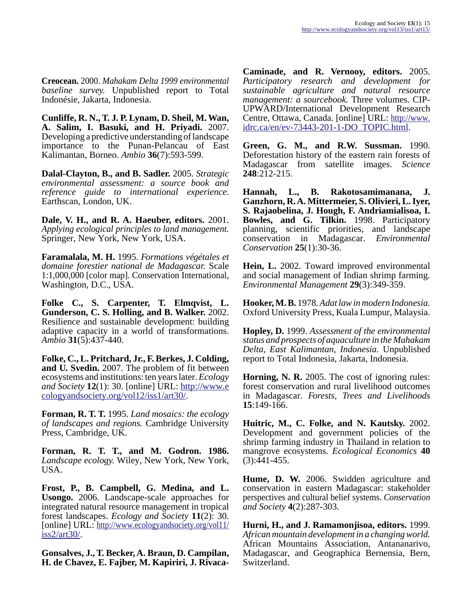**Creocean.** 2000. *Mahakam Delta 1999 environmental baseline survey.* Unpublished report to Total Indonésie, Jakarta, Indonesia.

**Cunliffe, R. N., T. J. P. Lynam, D. Sheil, M. Wan, A. Salim, I. Basuki, and H. Priyadi.** 2007. Developing a predictive understanding of landscape importance to the Punan-Pelancau of East Kalimantan, Borneo. *Ambio* **36**(7):593-599.

**Dalal-Clayton, B., and B. Sadler.** 2005. *Strategic environmental assessment: a source book and reference guide to international experience.* Earthscan, London, UK.

**Dale, V. H., and R. A. Haeuber, editors.** 2001. *Applying ecological principles to land management.* Springer, New York, New York, USA.

**Faramalala, M. H.** 1995. *Formations végétales et domaine forestier national de Madagascar.* Scale 1:1,000,000 [color map]. Conservation International, Washington, D.C., USA.

**Folke C., S. Carpenter, T. Elmqvist, L. Gunderson, C. S. Holling, and B. Walker.** 2002. Resilience and sustainable development: building adaptive capacity in a world of transformations. *Ambio* **31**(5):437-440.

**Folke, C., L. Pritchard, Jr., F. Berkes, J. Colding, and U. Svedin.** 2007. The problem of fit between ecosystems and institutions: ten years later. *Ecology and Society* **12**(1): 30. [online] URL: [http://www.e](http://www.ecologyandsociety.org/vol12/iss1/art30/) [cologyandsociety.org/vol12/iss1/art30/.](http://www.ecologyandsociety.org/vol12/iss1/art30/)

**Forman, R. T. T.** 1995. *Land mosaics: the ecology of landscapes and regions.* Cambridge University Press, Cambridge, UK.

**Forman, R. T. T., and M. Godron. 1986.** *Landscape ecology.* Wiley, New York, New York, USA.

**Frost, P., B. Campbell, G. Medina, and L. Usongo.** 2006. Landscape-scale approaches for integrated natural resource management in tropical forest landscapes. *Ecology and Society* **11**(2): 30. [online] URL: [http://www.ecologyandsociety.org/vol11/](http://www.ecologyandsociety.org/vol11/iss2/art30/) [iss2/art30/](http://www.ecologyandsociety.org/vol11/iss2/art30/).

**Gonsalves, J., T. Becker, A. Braun, D. Campilan, H. de Chavez, E. Fajber, M. Kapiriri, J. Rivaca-** **Caminade, and R. Vernooy, editors.** 2005. *Participatory research and development for sustainable agriculture and natural resource management: a sourcebook.* Three volumes. CIP-UPWARD/International Development Research Centre, Ottawa, Canada. [online] URL: [http://www.](http://www.idrc.ca/en/ev-73443-201-1-DO_TOPIC.html) [idrc.ca/en/ev-73443-201-1-DO\\_TOPIC.html.](http://www.idrc.ca/en/ev-73443-201-1-DO_TOPIC.html)

**Green, G. M., and R.W. Sussman.** 1990. Deforestation history of the eastern rain forests of Madagascar from satellite images. *Science* **248**:212-215.

**Hannah, L., B. Rakotosamimanana, J. Ganzhorn, R. A. Mittermeier, S. Olivieri, L. Iyer, S. Rajaobelina, J. Hough, F. Andriamialisoa, I. Bowles, and G. Tilkin.** 1998. Participatory planning, scientific priorities, and landscape conservation in Madagascar. *Environmental Conservation* **25**(1):30-36.

**Hein, L.** 2002. Toward improved environmental and social management of Indian shrimp farming. *Environmental Management* **29**(3):349-359.

**Hooker, M. B.** 1978. *Adat law in modern Indonesia.* Oxford University Press, Kuala Lumpur, Malaysia.

**Hopley, D.** 1999. *Assessment of the environmental status and prospects of aquaculture in the Mahakam Delta, East Kalimantan, Indonesia.* Unpublished report to Total Indonesia, Jakarta, Indonesia.

**Horning, N. R.** 2005. The cost of ignoring rules: forest conservation and rural livelihood outcomes in Madagascar. *Forests, Trees and Livelihoods* **15**:149-166.

**Huitric, M., C. Folke, and N. Kautsky.** 2002. Development and government policies of the shrimp farming industry in Thailand in relation to mangrove ecosystems. *Ecological Economics* **40** (3):441-455.

**Hume, D. W.** 2006. Swidden agriculture and conservation in eastern Madagascar: stakeholder perspectives and cultural belief systems. *Conservation and Society* **4**(2):287-303.

**Hurni, H., and J. Ramamonjisoa, editors.** 1999. *African mountain development in a changing world.* African Mountains Association, Antananarivo, Madagascar, and Geographica Bernensia, Bern, Switzerland.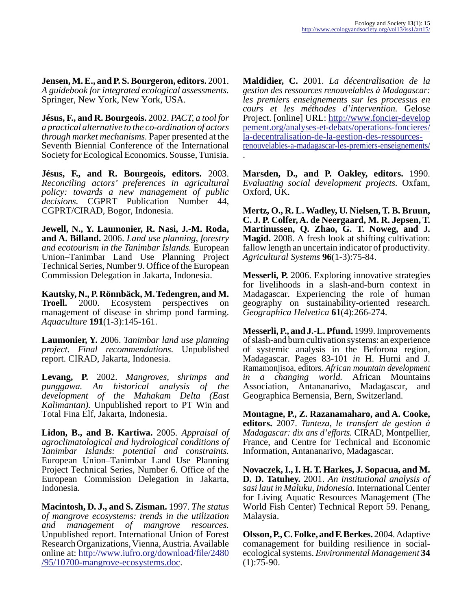**Jensen, M. E., and P. S. Bourgeron, editors.** 2001. *A guidebook for integrated ecological assessments.* Springer, New York, New York, USA.

**Jésus, F., and R. Bourgeois.** 2002. *PACT, a tool for a practical alternative to the co-ordination of actors through market mechanisms.* Paper presented at the Seventh Biennial Conference of the International Society for Ecological Economics. Sousse, Tunisia.

**Jésus, F., and R. Bourgeois, editors.** 2003. *Reconciling actors' preferences in agricultural policy: towards a new management of public decisions.* CGPRT Publication Number 44, CGPRT/CIRAD, Bogor, Indonesia.

**Jewell, N., Y. Laumonier, R. Nasi, J.-M. Roda, and A. Billand.** 2006. *Land use planning, forestry and ecotourism in the Tanimbar Islands.* European Union–Tanimbar Land Use Planning Project Technical Series, Number 9. Office of the European Commission Delegation in Jakarta, Indonesia.

**Kautsky, N., P. Rönnbäck, M. Tedengren, and M. Troell.** 2000. Ecosystem perspectives on management of disease in shrimp pond farming. *Aquaculture* **191**(1-3):145-161.

**Laumonier, Y.** 2006. *Tanimbar land use planning project. Final recommendations.* Unpublished report. CIRAD, Jakarta, Indonesia.

**Levang, P.** 2002. *Mangroves, shrimps and punggawa. An historical analysis of the development of the Mahakam Delta (East Kalimantan).* Unpublished report to PT Win and Total Fina Elf, Jakarta, Indonesia.

**Lidon, B., and B. Kartiwa.** 2005. *Appraisal of agroclimatological and hydrological conditions of Tanimbar Islands: potential and constraints.* European Union–Tanimbar Land Use Planning Project Technical Series, Number 6. Office of the European Commission Delegation in Jakarta, Indonesia.

**Macintosh, D. J., and S. Zisman.** 1997. *The status of mangrove ecosystems: trends in the utilization and management of mangrove resources.* Unpublished report. International Union of Forest Research Organizations, Vienna, Austria. Available online at: [http://www.iufro.org/download/file/2480](http://www.iufro.org/download/file/2480/95/10700-mangrove-ecosystems.doc) [/95/10700-mangrove-ecosystems.doc.](http://www.iufro.org/download/file/2480/95/10700-mangrove-ecosystems.doc)

**Maldidier, C.** 2001. *La décentralisation de la gestion des ressources renouvelables à Madagascar: les premiers enseignements sur les processus en cours et les méthodes d'intervention.* Gelose Project. [online] URL: [http://www.foncier-develop](http://www.foncier-developpement.org/analyses-et-debats/operations-foncieres/la-decentralisation-de-la-gestion-des-ressources-renouvelables-a-madagascar-les-premiers-enseignements/) [pement.org/analyses-et-debats/operations-foncieres/](http://www.foncier-developpement.org/analyses-et-debats/operations-foncieres/la-decentralisation-de-la-gestion-des-ressources-renouvelables-a-madagascar-les-premiers-enseignements/) [la-decentralisation-de-la-gestion-des-ressources](http://www.foncier-developpement.org/analyses-et-debats/operations-foncieres/la-decentralisation-de-la-gestion-des-ressources-renouvelables-a-madagascar-les-premiers-enseignements/)[renouvelables-a-madagascar-les-premiers-enseignements/](http://www.foncier-developpement.org/analyses-et-debats/operations-foncieres/la-decentralisation-de-la-gestion-des-ressources-renouvelables-a-madagascar-les-premiers-enseignements/) .

**Marsden, D., and P. Oakley, editors.** 1990. *Evaluating social development projects.* Oxfam, Oxford, UK.

**Mertz, O., R. L. Wadley, U. Nielsen, T. B. Bruun, C. J. P. Colfer, A. de Neergaard, M. R. Jepsen, T. Martinussen, Q. Zhao, G. T. Noweg, and J. Magid.** 2008. A fresh look at shifting cultivation: fallow length an uncertain indicator of productivity. *Agricultural Systems* **96**(1-3):75-84.

**Messerli, P.** 2006. Exploring innovative strategies for livelihoods in a slash-and-burn context in Madagascar. Experiencing the role of human geography on sustainability-oriented research. *Geographica Helvetica* **61**(4):266-274.

**Messerli, P., and J.-L. Pfund.** 1999. Improvements of slash-and burn cultivation systems: an experience of systemic analysis in the Beforona region, Madagascar. Pages 83-101 *in* H. Hurni and J. Ramamonjisoa, editors. *African mountain development in a changing world.* African Mountains Association, Antananarivo, Madagascar, and Geographica Bernensia, Bern, Switzerland.

**Montagne, P., Z. Razanamaharo, and A. Cooke, editors.** 2007. *Tanteza, le transfert de gestion à Madagascar: dix ans d'efforts.* CIRAD, Montpellier, France, and Centre for Technical and Economic Information, Antananarivo, Madagascar.

**Novaczek, I., I. H. T. Harkes, J. Sopacua, and M. D. D. Tatuhey.** 2001. *An institutional analysis of sasi laut in Maluku, Indonesia.* International Center for Living Aquatic Resources Management (The World Fish Center) Technical Report 59. Penang, Malaysia.

**Olsson, P., C. Folke, and F. Berkes.** 2004. Adaptive comanagement for building resilience in socialecological systems. *Environmental Management* **34**  $(1):75-90.$